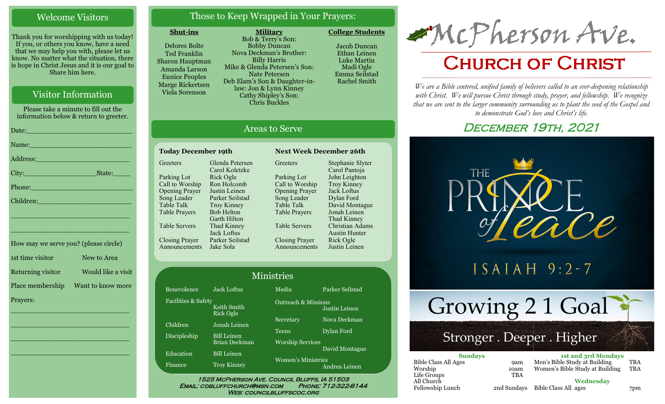#### Welcome Visitors

Thank you for worshipping with us today! If you, or others you know, have a need that we may help you with, please let us know. No matter what the situation, there is hope in Christ Jesus and it is our goal to Share him here.

## Visitor Information

Please take a minute to fill out the information below & return to greeter. Date:\_\_\_\_\_\_\_\_\_\_\_\_\_\_\_\_\_\_\_\_\_\_\_\_\_ Name:

City: State:

\_\_\_\_\_\_\_\_\_\_\_\_\_\_\_\_\_\_\_\_\_\_\_\_\_\_\_\_

Address:\_\_\_\_\_\_\_\_\_\_\_\_\_\_\_\_\_\_\_\_\_\_

Phone:\_\_\_\_\_\_\_\_\_\_\_\_\_\_\_\_\_\_\_\_\_\_\_\_ Children:

Prayers:

\_\_\_\_\_\_\_\_\_\_\_\_\_\_\_\_\_\_\_\_\_\_\_\_\_\_\_\_ How may we serve you? (please circle) 1st time visitor New to Area Returning visitor Would like a visit Place membership Want to know more

\_\_\_\_\_\_\_\_\_\_\_\_\_\_\_\_\_\_\_\_\_\_\_\_\_\_\_\_

 $\overline{\phantom{a}}$  , and the set of the set of the set of the set of the set of the set of the set of the set of the set of the set of the set of the set of the set of the set of the set of the set of the set of the set of the s

 $\overline{\phantom{a}}$  , and the set of the set of the set of the set of the set of the set of the set of the set of the set of the set of the set of the set of the set of the set of the set of the set of the set of the set of the s

\_\_\_\_\_\_\_\_\_\_\_\_\_\_\_\_\_\_\_\_\_\_\_\_\_\_\_\_

Those to Keep Wrapped in Your Prayers:

#### **Shut-ins**

Delores Bolte Ted Franklin Sharon Hauptman Amanda Larson Eunice Peoples Marge Rickertsen Viola Sorenson

**Military** Bob & Terry's Son: Bobby Duncan Nova Deckman's Brother: Billy Harris Mike & Glenda Petersen's Son: Nate Petersen Deb Elam's Son & Daughter-inlaw: Jon & Lynn Kinney Cathy Shipley's Son: Chris Buckles

**College Students**  Jacob Duncan Ethan Leinen

Luke Martin Madi Ogle Emma Seilstad Rachel Smith

## Areas to Serve

#### **Today December 19th Next Week December 26th Greeters** Parking Lot Call to Worship Opening Prayer Song Leader Table Talk Table Prayers Table Servers Closing Prayer Announcements Jake Sola Glenda Petersen Carol Koletzke Rick Ogle Ron Holcomb Justin Leinen Parker Seilstad Troy Kinney Bob Helton Garth Hilton Thad Kinney Jack Loftus Parker Seilstad

Bene Facil

Child Disci

Educ Fina

**Greeters** Parking Lot Call to Worship Opening Prayer Song Leader Table Talk Table Prayers Table Servers Closing Prayer Announcements Stephanie Slyter Carol Pantoja John Leighton Troy Kinney Jack Loftus Dylan Ford David Montague Jonah Leinen Thad Kinney Christian Adams Austin Hunter Rick Ogle Justin Leinen

| <b>Ministries</b> |                                     |                                           |                                                 |  |
|-------------------|-------------------------------------|-------------------------------------------|-------------------------------------------------|--|
| volence           | <b>Jack Loftus</b>                  | Media                                     | Parker Seilstad                                 |  |
| ities & Safetv    | Keith Smith<br>Rick Ogle            |                                           | <b>Outreach &amp; Missions</b><br>Justin Leinen |  |
| lren              | Jonah Leinen                        | Secretary                                 | Nova Deckman                                    |  |
| pleship           | <b>Bill Leinen</b><br>Brian Deckman | <b>Teens</b>                              | Dylan Ford                                      |  |
| ation             | <b>Bill Leinen</b>                  | <b>Worship Services</b><br>David Montague |                                                 |  |
| nce               | <b>Troy Kinney</b>                  | <b>Women's Ministries</b>                 | Andrea Leinen                                   |  |

WEB: COUNCILBLUFFSCOC.ORG

# McPherson Ave.

## **CHURCH OF CHRIST**

*We are a Bible centered, unified family of believers called to an ever-deepening relationship*  with Christ. We will pursue Christ through study, prayer, and fellowship. We recognize *that we are sent to the larger community surrounding us to plant the seed of the Gospel and to demonstrate God's love and Christ's life.*

## DECEMBER 19TH, 2021



 $ISAIAH$  9:2-7

Growing 2 1 Goal

## Stronger . Deeper . Higher

| <b>Sundays</b>              |             | <b>1st and 3rd Mondays</b>      |            |  |
|-----------------------------|-------------|---------------------------------|------------|--|
| <b>Bible Class All Ages</b> | <b>9am</b>  | Men's Bible Study at Building   | TBA        |  |
| Worship                     | 10am        | Women's Bible Study at Building | <b>TBA</b> |  |
| Life Groups                 | <b>TBA</b>  |                                 |            |  |
| All Church                  |             | Wednesdav                       |            |  |
| Fellowship Lunch            | 2nd Sundays | Bible Class All ages            | 7pm        |  |